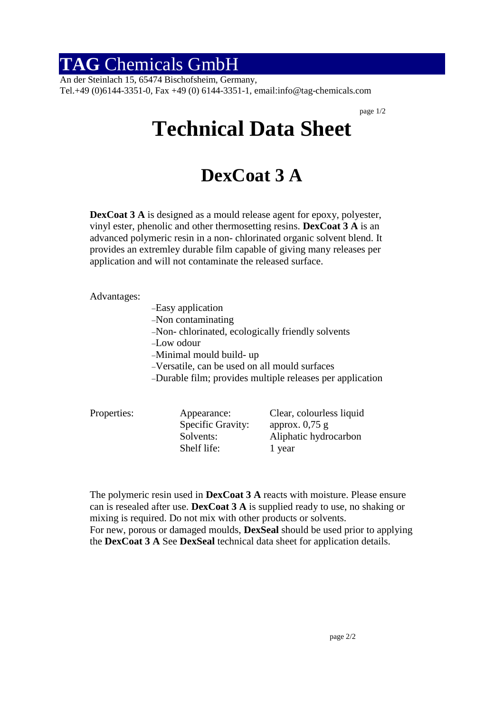## **TAG** Chemicals GmbH

An der Steinlach 15, 65474 Bischofsheim, Germany, Tel.+49 (0)6144-3351-0, Fax +49 (0) 6144-3351-1, email:info@tag-chemicals.com

page 1/2

## **Technical Data Sheet**

## **DexCoat 3 A**

**DexCoat 3 A** is designed as a mould release agent for epoxy, polyester, vinyl ester, phenolic and other thermosetting resins. **DexCoat 3 A** is an advanced polymeric resin in a non- chlorinated organic solvent blend. It provides an extremley durable film capable of giving many releases per application and will not contaminate the released surface.

Advantages:

- Easy application Non contaminating Non- chlorinated, ecologically friendly solvents Low odour Minimal mould build- up Versatile, can be used on all mould surfaces Durable film; provides multiple releases per application
- Properties: Appearance: Clear, colourless liquid Specific Gravity: approx. 0,75 g Solvents: Aliphatic hydrocarbon Shelf life: 1 year

The polymeric resin used in **DexCoat 3 A** reacts with moisture. Please ensure can is resealed after use. **DexCoat 3 A** is supplied ready to use, no shaking or mixing is required. Do not mix with other products or solvents. For new, porous or damaged moulds, **DexSeal** should be used prior to applying the **DexCoat 3 A** See **DexSeal** technical data sheet for application details.